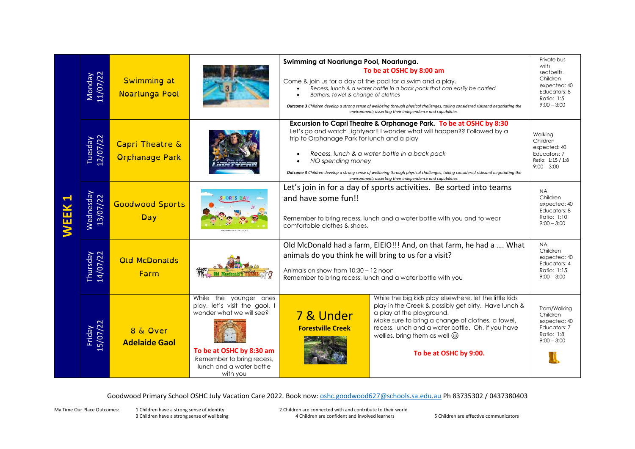| WEEK | Monday<br>11/07/22    | <b>Swimming at</b><br>Noarlunga Pool     |                                                                                                                                                                                      | Swimming at Noarlunga Pool, Noarlunga.<br>To be at OSHC by 8:00 am<br>Come & join us for a day at the pool for a swim and a play.<br>Recess, lunch & a water bottle in a back pack that can easily be carried<br>Bathers, towel & change of clothes<br>Outcome 3 Children develop a strong sense of wellbeing through physical challenges, taking considered risksand negotiating the<br>environment; asserting their independence and capabilities.                 |                                                                                                                                                                                                                                                                                                                       | Private bus<br>with<br>seatbelts.<br>Children<br>expected: 40<br>Educators: 8<br>Ratio: 1:5<br>$9:00 - 3:00$ |
|------|-----------------------|------------------------------------------|--------------------------------------------------------------------------------------------------------------------------------------------------------------------------------------|----------------------------------------------------------------------------------------------------------------------------------------------------------------------------------------------------------------------------------------------------------------------------------------------------------------------------------------------------------------------------------------------------------------------------------------------------------------------|-----------------------------------------------------------------------------------------------------------------------------------------------------------------------------------------------------------------------------------------------------------------------------------------------------------------------|--------------------------------------------------------------------------------------------------------------|
|      | Tuesday<br>12/07/22   | Capri Theatre &<br><b>Orphanage Park</b> |                                                                                                                                                                                      | Excursion to Capri Theatre & Orphanage Park. To be at OSHC by 8:30<br>Let's go and watch Lightyear!! I wonder what will happen?? Followed by a<br>trip to Orphanage Park for lunch and a play<br>Recess, lunch & a water bottle in a back pack<br>NO spending money<br>Outcome 3 Children develop a strong sense of wellbeing through physical challenges, taking considered risksand negotiating the<br>environment; asserting their independence and capabilities. | Walkina<br>Children<br>expected: 40<br>Educators: 7<br>Ratio: 1:15 / 1:8<br>$9:00 - 3:00$                                                                                                                                                                                                                             |                                                                                                              |
|      | Wednesday<br>13/07/22 | <b>Goodwood Sports</b><br><b>Day</b>     |                                                                                                                                                                                      | Let's join in for a day of sports activities. Be sorted into teams<br>and have some fun!!<br>Remember to bring recess, lunch and a water bottle with you and to wear<br>comfortable clothes & shoes.                                                                                                                                                                                                                                                                 |                                                                                                                                                                                                                                                                                                                       | <b>NA</b><br>Children<br>expected: 40<br>Educators: 8<br>Ratio: 1:10<br>$9:00 - 3:00$                        |
|      | Thursday<br>14/07/22  | <b>Old McDonalds</b><br>Farm             |                                                                                                                                                                                      | Old McDonald had a farm, EIEIO!!! And, on that farm, he had a  What<br>animals do you think he will bring to us for a visit?<br>Animals on show from 10:30 - 12 noon<br>Remember to bring recess, lunch and a water bottle with you                                                                                                                                                                                                                                  |                                                                                                                                                                                                                                                                                                                       | NA.<br>Children<br>expected: 40<br>Educators: 4<br>Ratio: 1:15<br>$9:00 - 3:00$                              |
|      | Friday<br>15/07/22    | 8 & Over<br><b>Adelaide Gaol</b>         | While the younger ones<br>play, let's visit the gaol. I<br>wonder what we will see?<br>To be at OSHC by 8:30 am<br>Remember to bring recess,<br>lunch and a water bottle<br>with you | 7 & Under<br><b>Forestville Creek</b>                                                                                                                                                                                                                                                                                                                                                                                                                                | While the big kids play elsewhere, let the little kids<br>play in the Creek & possibly get dirty. Have lunch &<br>a play at the playground.<br>Make sure to bring a change of clothes, a towel,<br>recess, lunch and a water bottle. Oh, if you have<br>wellies, bring them as well $\odot$<br>To be at OSHC by 9:00. | Tram/Walkina<br>Children<br>expected: 40<br>Educators: 7<br>Ratio: 1:8<br>$9:00 - 3:00$                      |

Goodwood Primary School OSHC July Vacation Care 2022. Book now[: oshc.goodwood627@schools.sa.edu.au](mailto:oshc.goodwood627@schools.sa.edu.au) Ph 83735302 / 0437380403

3 Children have a strong sense of wellbeing

My Time Our Place Outcomes: 1 Children have a strong sense of identity and the are connected with and contribute to their world<br>3 Children have a strong sense of wellbeing and the securidation are confident and involved le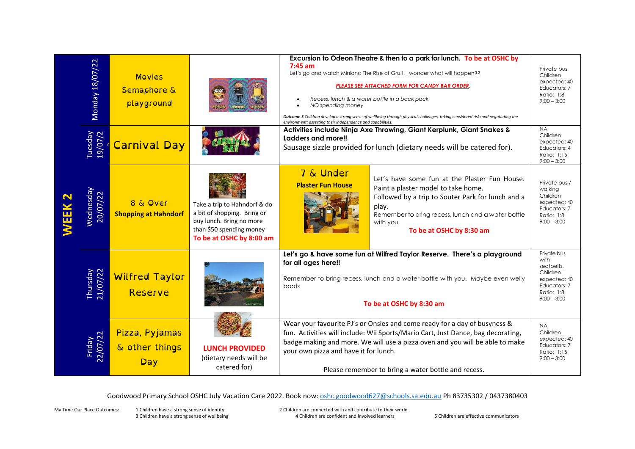| <b>NEEK2</b> | Monday 18/07/22       | <b>Movies</b><br>Semaphore &<br>playground |                                                                                                                                                 | Excursion to Odeon Theatre & then to a park for lunch. To be at OSHC by<br>$7:45$ am<br>Let's go and watch Minions: The Rise of Gru!!! I wonder what will happen??<br>PLEASE SEE ATTACHED FORM FOR CANDY BAR ORDER.<br>Recess, lunch & a water bottle in a back pack<br>NO spending money<br>$\bullet$<br>Outcome 3 Children develop a strong sense of wellbeing through physical challenges, taking considered risksand negotiating the<br>environment; asserting their independence and capabilities. |                                                                                                                                                                                                                                                  | Private bus<br>Children<br>expected: 40<br>Educators: 7<br>Ratio: 1:8<br>$9:00 - 3:00$                       |
|--------------|-----------------------|--------------------------------------------|-------------------------------------------------------------------------------------------------------------------------------------------------|---------------------------------------------------------------------------------------------------------------------------------------------------------------------------------------------------------------------------------------------------------------------------------------------------------------------------------------------------------------------------------------------------------------------------------------------------------------------------------------------------------|--------------------------------------------------------------------------------------------------------------------------------------------------------------------------------------------------------------------------------------------------|--------------------------------------------------------------------------------------------------------------|
|              | Tuesday<br>19/07/2    | <b>Carnival Day</b>                        |                                                                                                                                                 | Activities include Ninja Axe Throwing, Giant Kerplunk, Giant Snakes &<br>Ladders and more!!<br>Sausage sizzle provided for lunch (dietary needs will be catered for).                                                                                                                                                                                                                                                                                                                                   |                                                                                                                                                                                                                                                  | <b>NA</b><br>Children<br>expected: 40<br>Educators: 4<br>Ratio: 1:15<br>$9:00 - 3:00$                        |
|              | Wednesday<br>20/07/22 | 8 & Over<br><b>Shopping at Hahndorf</b>    | Take a trip to Hahndorf & do<br>a bit of shopping. Bring or<br>buy lunch. Bring no more<br>than \$50 spending money<br>To be at OSHC by 8:00 am | 7 & Under<br><b>Plaster Fun House</b>                                                                                                                                                                                                                                                                                                                                                                                                                                                                   | Let's have some fun at the Plaster Fun House.<br>Paint a plaster model to take home.<br>Followed by a trip to Souter Park for lunch and a<br>play.<br>Remember to bring recess, lunch and a water bottle<br>with you<br>To be at OSHC by 8:30 am | Private bus /<br>walking<br>Children<br>expected: 40<br>Educators: 7<br>Ratio: 1:8<br>$9:00 - 3:00$          |
|              | Thursday<br>21/07/22  | <b>Wilfred Taylor</b><br>Reserve           |                                                                                                                                                 | Let's go & have some fun at Wilfred Taylor Reserve. There's a playground<br>for all ages here!!<br>Remember to bring recess, lunch and a water bottle with you. Maybe even welly<br>boots<br>To be at OSHC by 8:30 am                                                                                                                                                                                                                                                                                   |                                                                                                                                                                                                                                                  | Private bus<br>with<br>seatbelts.<br>Children<br>expected: 40<br>Educators: 7<br>Ratio: 1:8<br>$9:00 - 3:00$ |
|              | Friday<br>22/07/22    | Pizza, Pyjamas<br>& other things<br>Day    | <b>LUNCH PROVIDED</b><br>(dietary needs will be<br>catered for)                                                                                 | Wear your favourite PJ's or Onsies and come ready for a day of busyness &<br>fun. Activities will include: Wii Sports/Mario Cart, Just Dance, bag decorating,<br>badge making and more. We will use a pizza oven and you will be able to make<br>your own pizza and have it for lunch.<br>Please remember to bring a water bottle and recess.                                                                                                                                                           |                                                                                                                                                                                                                                                  | <b>NA</b><br>Children<br>expected: 40<br>Educators: 7<br>Ratio: 1:15<br>$9:00 - 3:00$                        |

Goodwood Primary School OSHC July Vacation Care 2022. Book now[: oshc.goodwood627@schools.sa.edu.au](mailto:oshc.goodwood627@schools.sa.edu.au) Ph 83735302 / 0437380403

3 Children have a strong sense of wellbeing

My Time Our Place Outcomes: 1 Children have a strong sense of identity and the are connected with and contribute to their world<br>3 Children have a strong sense of wellbeing and the securidation are confident and involved le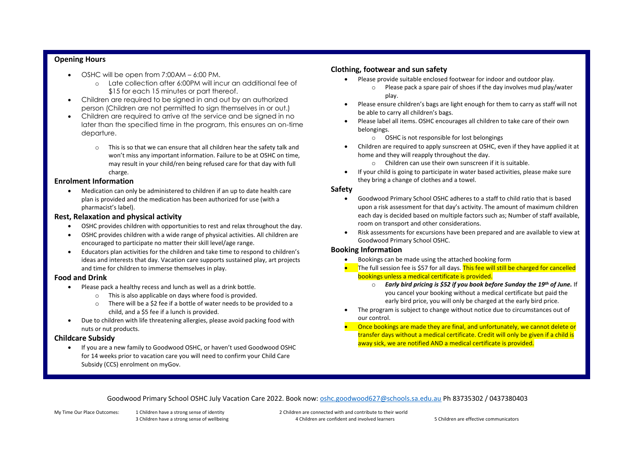## **Opening Hours**

- OSHC will be open from 7:00AM 6:00 PM.
	- o Late collection after 6:00PM will incur an additional fee of \$15 for each 15 minutes or part thereof.
- Children are required to be signed in and out by an authorized person (Children are not permitted to sign themselves in or out.)
- Children are required to arrive at the service and be signed in no later than the specified time in the program, this ensures an on-time departure.
	- o This is so that we can ensure that all children hear the safety talk and won't miss any important information. Failure to be at OSHC on time, may result in your child/ren being refused care for that day with full charge.

## **Enrolment Information**

• Medication can only be administered to children if an up to date health care plan is provided and the medication has been authorized for use (with a pharmacist's label).

## **Rest, Relaxation and physical activity**

- OSHC provides children with opportunities to rest and relax throughout the day.
- OSHC provides children with a wide range of physical activities. All children are encouraged to participate no matter their skill level/age range.
- Educators plan activities for the children and take time to respond to children's ideas and interests that day. Vacation care supports sustained play, art projects and time for children to immerse themselves in play.

## **Food and Drink**

- Please pack a healthy recess and lunch as well as a drink bottle.
	- o This is also applicable on days where food is provided.
	- o There will be a \$2 fee if a bottle of water needs to be provided to a child, and a \$5 fee if a lunch is provided.
- Due to children with life threatening allergies, please avoid packing food with nuts or nut products.

## **Childcare Subsidy**

• If you are a new family to Goodwood OSHC, or haven't used Goodwood OSHC for 14 weeks prior to vacation care you will need to confirm your Child Care Subsidy (CCS) enrolment on myGov.

## **Clothing, footwear and sun safety**

- Please provide suitable enclosed footwear for indoor and outdoor play.
	- o Please pack a spare pair of shoes if the day involves mud play/water play.
- Please ensure children's bags are light enough for them to carry as staff will not be able to carry all children's bags.
- Please label all items. OSHC encourages all children to take care of their own belongings.
	- o OSHC is not responsible for lost belongings
- Children are required to apply sunscreen at OSHC, even if they have applied it at home and they will reapply throughout the day.
	- o Children can use their own sunscreen if it is suitable.
- If your child is going to participate in water based activities, please make sure they bring a change of clothes and a towel.

## **Safety**

- Goodwood Primary School OSHC adheres to a staff to child ratio that is based upon a risk assessment for that day's activity. The amount of maximum children each day is decided based on multiple factors such as; Number of staff available, room on transport and other considerations.
- Risk assessments for excursions have been prepared and are available to view at Goodwood Primary School OSHC.

## **Booking Information**

- Bookings can be made using the attached booking form
- The full session fee is \$57 for all days. This fee will still be charged for cancelled bookings unless a medical certificate is provided.
	- o *Early bird pricing is \$52 if you book before Sunday the 19th of June.* If you cancel your booking without a medical certificate but paid the early bird price, you will only be charged at the early bird price.
- The program is subject to change without notice due to circumstances out of our control.
- Once bookings are made they are final, and unfortunately, we cannot delete or transfer days without a medical certificate. Credit will only be given if a child is away sick, we are notified AND a medical certificate is provided.

Goodwood Primary School OSHC July Vacation Care 2022. Book now[: oshc.goodwood627@schools.sa.edu.au](mailto:oshc.goodwood627@schools.sa.edu.au) Ph 83735302 / 0437380403

My Time Our Place Outcomes: 1 Children have a strong sense of identity 2 Children are connected with and contribute to their world 3 Children have a strong sense of wellbeing 4 Children are confident and involved learners 5 Children are effective communicators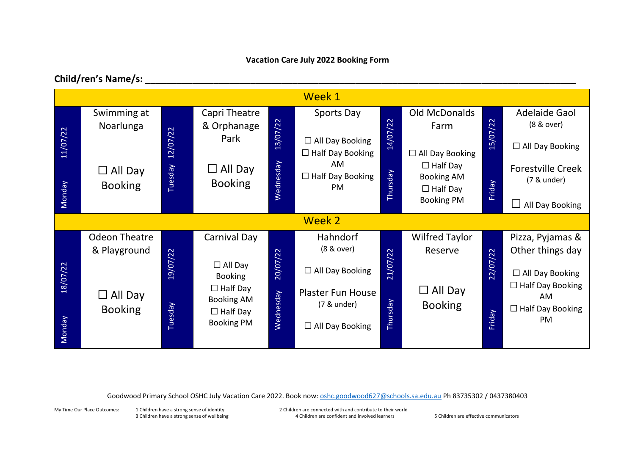# **Vacation Care July 2022 Booking Form**

# **Child/ren's Name/s: \_\_\_\_\_\_\_\_\_\_\_\_\_\_\_\_\_\_\_\_\_\_\_\_\_\_\_\_\_\_\_\_\_\_\_\_\_\_\_\_\_\_\_\_\_\_\_\_\_\_\_\_\_\_\_\_\_\_\_\_\_\_\_\_\_\_\_\_\_\_\_\_\_\_\_\_\_\_\_\_\_\_**



Goodwood Primary School OSHC July Vacation Care 2022. Book now[: oshc.goodwood627@schools.sa.edu.au](mailto:oshc.goodwood627@schools.sa.edu.au) Ph 83735302 / 0437380403

My Time Our Place Outcomes: 1 Children have a strong sense of identity 2 Children are connected with and contribute to their world 3 Children have a strong sense of wellbeing examples and the Children are confident and involved learners 5 Children are effective communicators